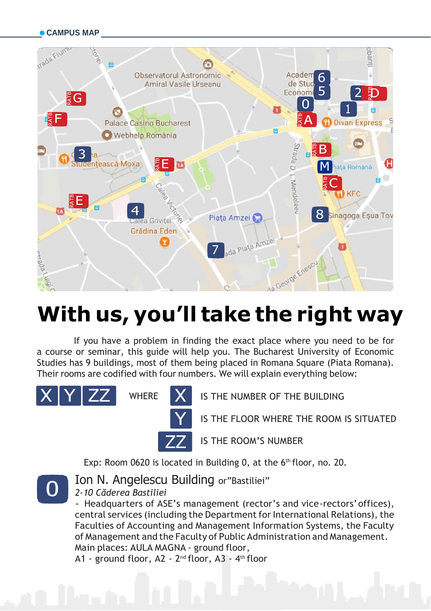

# **With us, you'll take the right way**

If you have a problem in finding the exact place where you need to be for a course or seminar, this guide will help you. The Bucharest University of Economic Studies has 9 buildings, most of them being placed in Romana Square (Piata Romana). Their rooms are codified with four numbers. We will explain everything below:





WHERE **X** IS THE NUMBER OF THE BUILDING

IS THE FLOOR WHERE THE ROOM IS SITUATED

IS THE ROOM'S NUMBER

Exp: Room 0620 is located in Building 0, at the 6<sup>th</sup> floor, no. 20.



Ion N. Angelescu Building or"Bastiliei"

*2-10 Căderea Bastiliei*

- Headquarters of ASE's management (rector's and vice-rectors'offices), central services (including the Department for International Relations), the Faculties of Accounting and Management Information Systems, the Faculty of Management and the Faculty of Public Administration and Management. Main places: AULA MAGNA - ground floor,

A1 - ground floor, A2 - 2<sup>nd</sup> floor, A3 - 4<sup>th</sup> floor